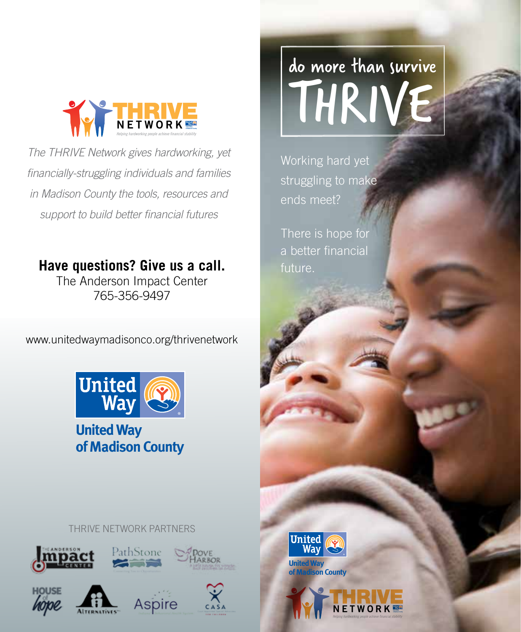

*The THRIVE Network gives hardworking, yet financially-struggling individuals and families in Madison County the tools, resources and support to build better financial futures*

## **Have questions? Give us a call.**

The Anderson Impact Center 765-356-9497

www.unitedwaymadisonco.org/thrivenetwork



**United Way of Madison County**

#### THRIVE NETWORK PARTNERS











# do more than survive THRIVE

Working hard yet struggling to make ends meet?

There is hope for a better financial future.